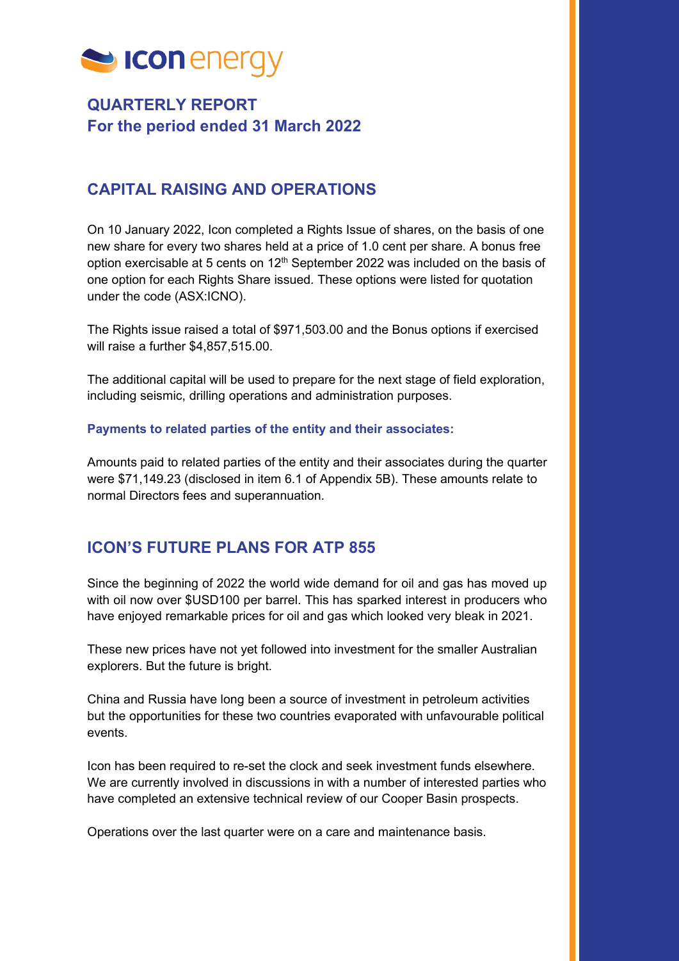

# **QUARTERLY REPORT For the period ended 31 March 2022**

## **CAPITAL RAISING AND OPERATIONS**

On 10 January 2022, Icon completed a Rights Issue of shares, on the basis of one new share for every two shares held at a price of 1.0 cent per share. A bonus free option exercisable at 5 cents on 12<sup>th</sup> September 2022 was included on the basis of one option for each Rights Share issued. These options were listed for quotation under the code (ASX:ICNO).

The Rights issue raised a total of \$971,503.00 and the Bonus options if exercised will raise a further \$4,857,515.00.

The additional capital will be used to prepare for the next stage of field exploration, including seismic, drilling operations and administration purposes.

### **Payments to related parties of the entity and their associates:**

Amounts paid to related parties of the entity and their associates during the quarter were \$71,149.23 (disclosed in item 6.1 of Appendix 5B). These amounts relate to normal Directors fees and superannuation.

## **ICON'S FUTURE PLANS FOR ATP 855**

Since the beginning of 2022 the world wide demand for oil and gas has moved up with oil now over \$USD100 per barrel. This has sparked interest in producers who have enjoyed remarkable prices for oil and gas which looked very bleak in 2021.

These new prices have not yet followed into investment for the smaller Australian explorers. But the future is bright.

China and Russia have long been a source of investment in petroleum activities but the opportunities for these two countries evaporated with unfavourable political events.

Icon has been required to re-set the clock and seek investment funds elsewhere. We are currently involved in discussions in with a number of interested parties who have completed an extensive technical review of our Cooper Basin prospects.

Operations over the last quarter were on a care and maintenance basis.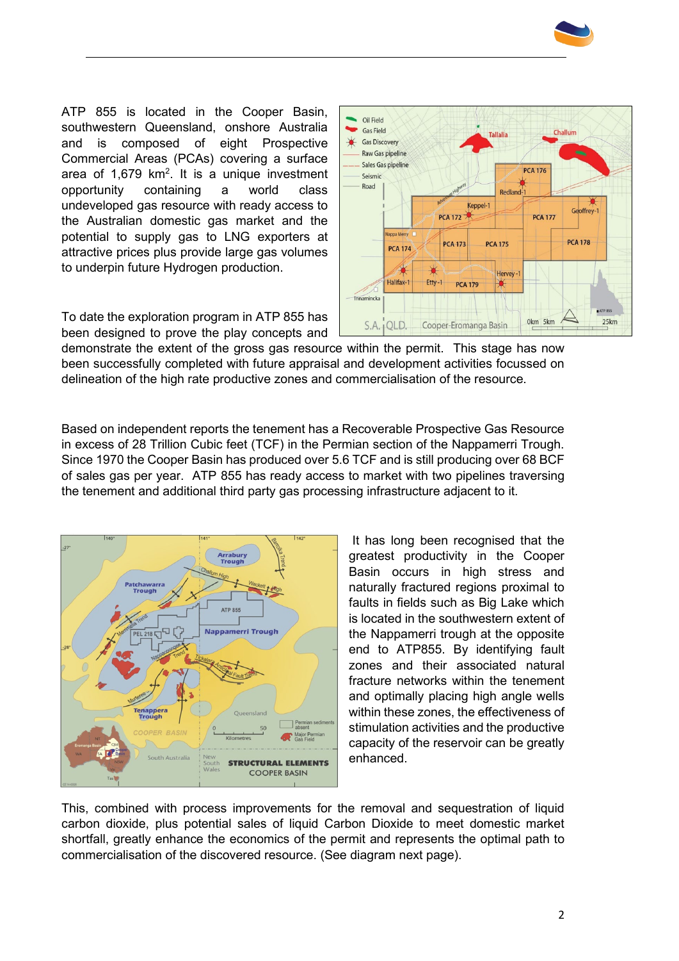

ATP 855 is located in the Cooper Basin, southwestern Queensland, onshore Australia and is composed of eight Prospective Commercial Areas (PCAs) covering a surface area of 1,679 km<sup>2</sup>. It is a unique investment opportunity containing a world class undeveloped gas resource with ready access to the Australian domestic gas market and the potential to supply gas to LNG exporters at attractive prices plus provide large gas volumes to underpin future Hydrogen production.

To date the exploration program in ATP 855 has been designed to prove the play concepts and



demonstrate the extent of the gross gas resource within the permit. This stage has now been successfully completed with future appraisal and development activities focussed on delineation of the high rate productive zones and commercialisation of the resource.

Based on independent reports the tenement has a Recoverable Prospective Gas Resource in excess of 28 Trillion Cubic feet (TCF) in the Permian section of the Nappamerri Trough. Since 1970 the Cooper Basin has produced over 5.6 TCF and is still producing over 68 BCF of sales gas per year. ATP 855 has ready access to market with two pipelines traversing the tenement and additional third party gas processing infrastructure adjacent to it.



It has long been recognised that the greatest productivity in the Cooper Basin occurs in high stress and naturally fractured regions proximal to faults in fields such as Big Lake which is located in the southwestern extent of the Nappamerri trough at the opposite end to ATP855. By identifying fault zones and their associated natural fracture networks within the tenement and optimally placing high angle wells within these zones, the effectiveness of stimulation activities and the productive capacity of the reservoir can be greatly enhanced.

This, combined with process improvements for the removal and sequestration of liquid carbon dioxide, plus potential sales of liquid Carbon Dioxide to meet domestic market shortfall, greatly enhance the economics of the permit and represents the optimal path to commercialisation of the discovered resource. (See diagram next page).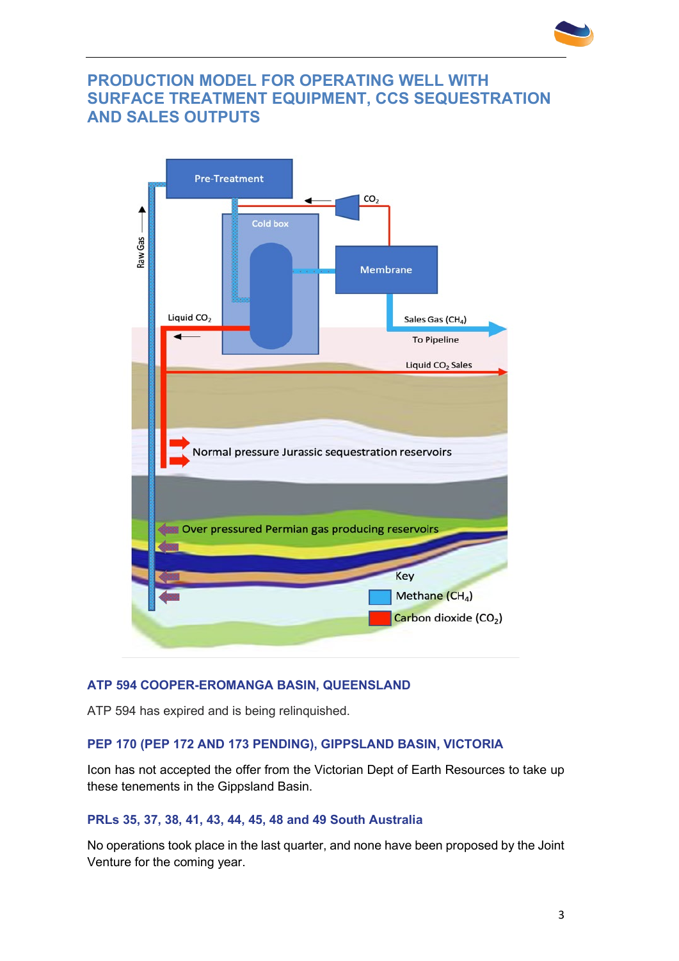

## **PRODUCTION MODEL FOR OPERATING WELL WITH SURFACE TREATMENT EQUIPMENT, CCS SEQUESTRATION AND SALES OUTPUTS**



## **ATP 594 COOPER-EROMANGA BASIN, QUEENSLAND**

ATP 594 has expired and is being relinquished.

### **PEP 170 (PEP 172 AND 173 PENDING), GIPPSLAND BASIN, VICTORIA**

Icon has not accepted the offer from the Victorian Dept of Earth Resources to take up these tenements in the Gippsland Basin.

### **PRLs 35, 37, 38, 41, 43, 44, 45, 48 and 49 South Australia**

No operations took place in the last quarter, and none have been proposed by the Joint Venture for the coming year.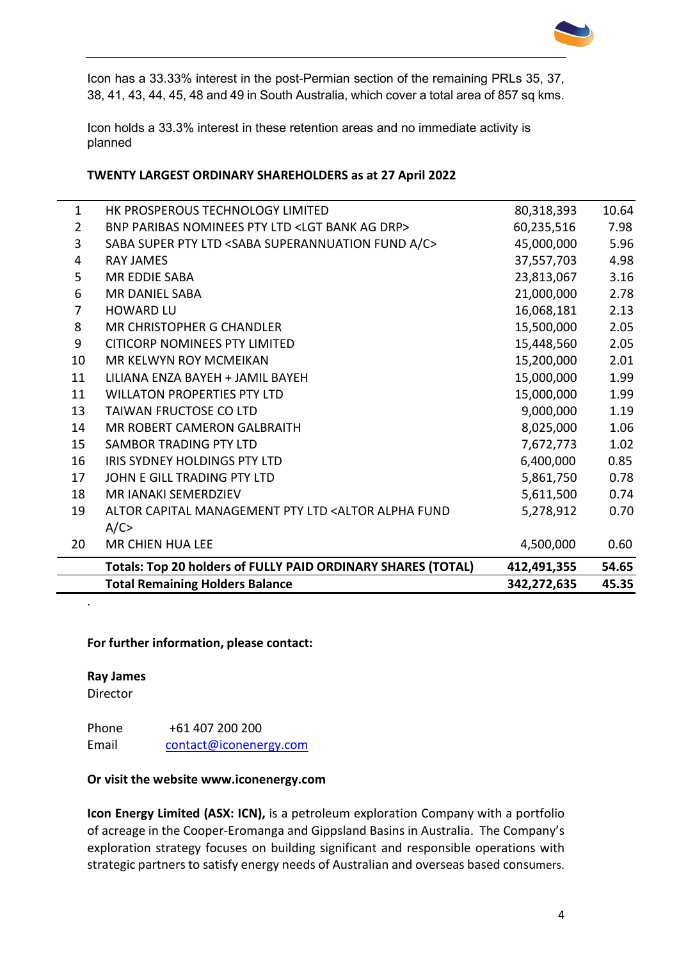

Icon has a 33.33% interest in the post-Permian section of the remaining PRLs 35, 37, 38, 41, 43, 44, 45, 48 and 49 in South Australia, which cover a total area of 857 sq kms.

Icon holds a 33.3% interest in these retention areas and no immediate activity is planned

#### **TWENTY LARGEST ORDINARY SHAREHOLDERS as at 27 April 2022**

|              | <b>Total Remaining Holders Balance</b>                                                                  | 342,272,635 | 45.35 |
|--------------|---------------------------------------------------------------------------------------------------------|-------------|-------|
|              | Totals: Top 20 holders of FULLY PAID ORDINARY SHARES (TOTAL)                                            | 412,491,355 | 54.65 |
| 20           | <b>MR CHIEN HUA LEE</b>                                                                                 | 4,500,000   | 0.60  |
|              | A/C                                                                                                     |             |       |
| 19           | ALTOR CAPITAL MANAGEMENT PTY LTD <altor alpha="" fund<="" td=""><td>5,278,912</td><td>0.70</td></altor> | 5,278,912   | 0.70  |
| 18           | <b>MR JANAKI SEMERDZIEV</b>                                                                             | 5,611,500   | 0.74  |
| 17           | JOHN E GILL TRADING PTY LTD                                                                             | 5,861,750   | 0.78  |
| 16           | IRIS SYDNEY HOLDINGS PTY LTD                                                                            | 6,400,000   | 0.85  |
| 15           | <b>SAMBOR TRADING PTY LTD</b>                                                                           | 7,672,773   | 1.02  |
| 14           | <b>MR ROBERT CAMERON GALBRAITH</b>                                                                      | 8,025,000   | 1.06  |
| 13           | <b>TAIWAN FRUCTOSE CO LTD</b>                                                                           | 9,000,000   | 1.19  |
| 11           | <b>WILLATON PROPERTIES PTY LTD</b>                                                                      | 15,000,000  | 1.99  |
| 11           | LILIANA ENZA BAYEH + JAMIL BAYEH                                                                        | 15,000,000  | 1.99  |
| 10           | MR KELWYN ROY MCMEIKAN                                                                                  | 15,200,000  | 2.01  |
| 9            | <b>CITICORP NOMINEES PTY LIMITED</b>                                                                    | 15,448,560  | 2.05  |
| 8            | <b>MR CHRISTOPHER G CHANDLER</b>                                                                        | 15,500,000  | 2.05  |
| 7            | <b>HOWARD LU</b>                                                                                        | 16,068,181  | 2.13  |
| 6            | <b>MR DANIEL SABA</b>                                                                                   | 21,000,000  | 2.78  |
| 5            | <b>MR EDDIE SABA</b>                                                                                    | 23,813,067  | 3.16  |
| 4            | <b>RAY JAMES</b>                                                                                        | 37,557,703  | 4.98  |
| 3            | SABA SUPER PTY LTD <saba a="" c="" fund="" superannuation=""></saba>                                    | 45,000,000  | 5.96  |
| 2            | BNP PARIBAS NOMINEES PTY LTD <lgt ag="" bank="" drp=""></lgt>                                           | 60,235,516  | 7.98  |
| $\mathbf{1}$ | HK PROSPEROUS TECHNOLOGY LIMITED                                                                        | 80,318,393  | 10.64 |

#### **For further information, please contact:**

#### **Ray James**

Director

.

Phone +61 407 200 200 Email [contact@iconenergy.com](mailto:contact@iconenergy.com)

#### **Or visit the website [www.iconenergy.com](http://www.iconenergy.com/)**

**Icon Energy Limited (ASX: ICN),** is a petroleum exploration Company with a portfolio of acreage in the Cooper-Eromanga and Gippsland Basins in Australia. The Company's exploration strategy focuses on building significant and responsible operations with strategic partners to satisfy energy needs of Australian and overseas based consumers.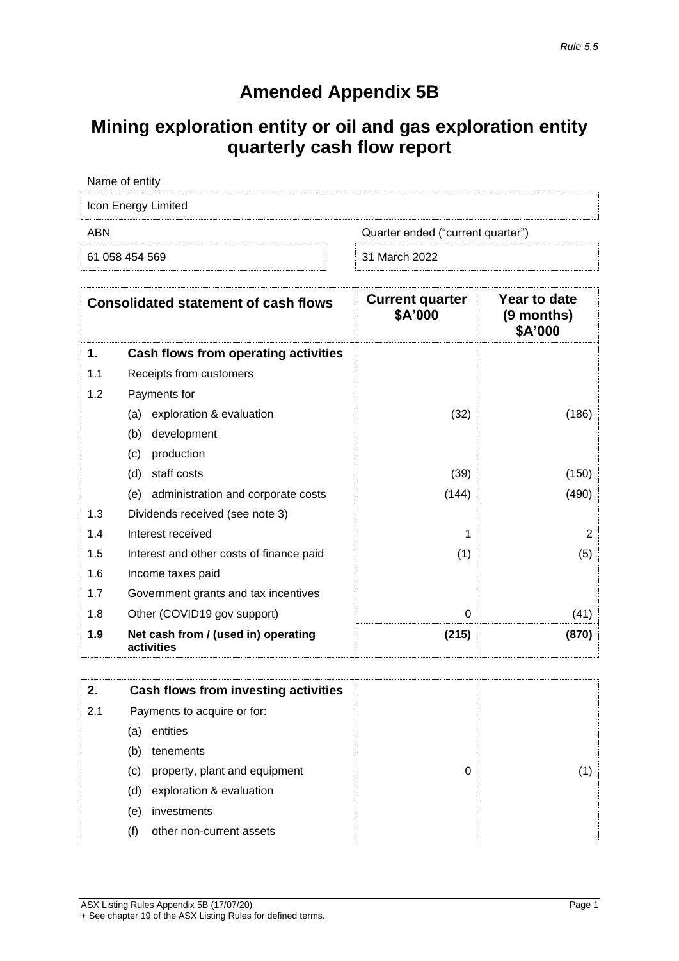# **Amended Appendix 5B**

# **Mining exploration entity or oil and gas exploration entity quarterly cash flow report**

| Name of entity                           |               |  |
|------------------------------------------|---------------|--|
| Icon Energy Limited                      |               |  |
| ABN<br>Quarter ended ("current quarter") |               |  |
| 61 058 454 569                           | 31 March 2022 |  |

| <b>Consolidated statement of cash flows</b> |                                                   | <b>Current quarter</b><br>\$A'000 | Year to date<br>(9 months)<br>\$A'000 |
|---------------------------------------------|---------------------------------------------------|-----------------------------------|---------------------------------------|
| 1.                                          | Cash flows from operating activities              |                                   |                                       |
| 1.1                                         | Receipts from customers                           |                                   |                                       |
| 1.2                                         | Payments for                                      |                                   |                                       |
|                                             | exploration & evaluation<br>(a)                   | (32)                              | (186)                                 |
|                                             | development<br>(b)                                |                                   |                                       |
|                                             | production<br>(c)                                 |                                   |                                       |
|                                             | (d)<br>staff costs                                | (39)                              | (150)                                 |
|                                             | administration and corporate costs<br>(e)         | (144)                             | (490)                                 |
| 1.3                                         | Dividends received (see note 3)                   |                                   |                                       |
| 1.4                                         | Interest received                                 |                                   | 2                                     |
| 1.5                                         | Interest and other costs of finance paid          | (1)                               | (5)                                   |
| 1.6                                         | Income taxes paid                                 |                                   |                                       |
| 1.7                                         | Government grants and tax incentives              |                                   |                                       |
| 1.8                                         | Other (COVID19 gov support)                       | $\Omega$                          | (41)                                  |
| 1.9                                         | Net cash from / (used in) operating<br>activities | (215)                             | (870)                                 |

| 2.                                                                        |     | <b>Cash flows from investing activities</b> |   |  |
|---------------------------------------------------------------------------|-----|---------------------------------------------|---|--|
| 2.1<br>Payments to acquire or for:<br>entities<br>(a)<br>tenements<br>(b) |     |                                             |   |  |
|                                                                           |     |                                             |   |  |
|                                                                           |     |                                             |   |  |
|                                                                           | (C) | property, plant and equipment               | 0 |  |
|                                                                           | (d) | exploration & evaluation                    |   |  |
|                                                                           | (e) | investments                                 |   |  |
|                                                                           | (f) | other non-current assets                    |   |  |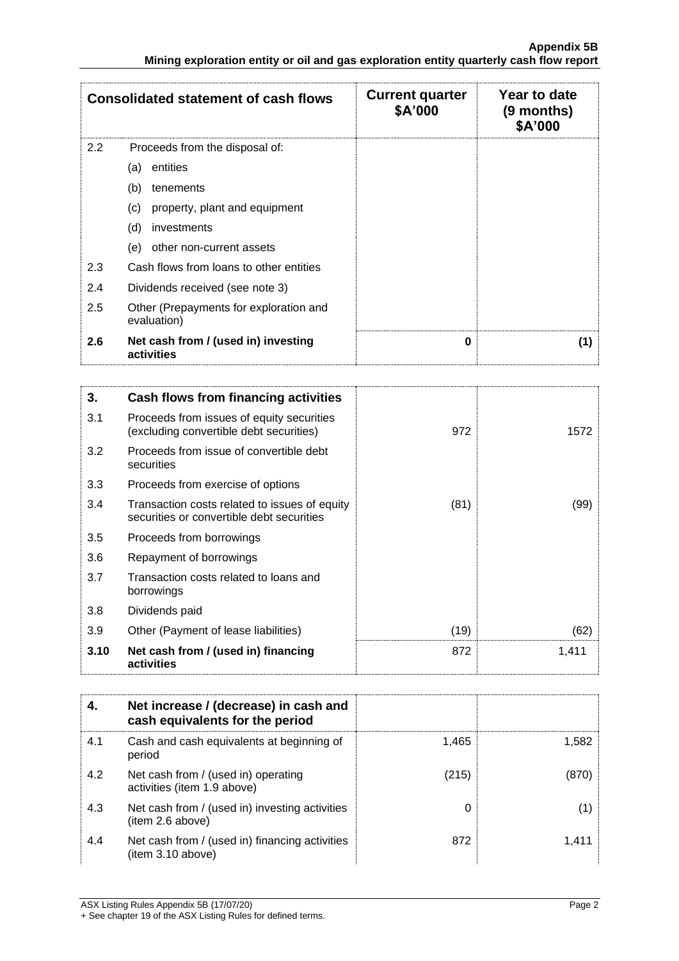| <b>Consolidated statement of cash flows</b> |                                                       | <b>Current quarter</b><br>\$A'000 | Year to date<br>(9 months)<br>\$A'000 |
|---------------------------------------------|-------------------------------------------------------|-----------------------------------|---------------------------------------|
| 2.2                                         | Proceeds from the disposal of:                        |                                   |                                       |
|                                             | entities<br>(a)                                       |                                   |                                       |
|                                             | (b)<br>tenements                                      |                                   |                                       |
|                                             | property, plant and equipment<br>(C)                  |                                   |                                       |
|                                             | (d)<br>investments                                    |                                   |                                       |
|                                             | (e)<br>other non-current assets                       |                                   |                                       |
| 2.3                                         | Cash flows from loans to other entities               |                                   |                                       |
| 2.4                                         | Dividends received (see note 3)                       |                                   |                                       |
| 2.5                                         | Other (Prepayments for exploration and<br>evaluation) |                                   |                                       |
| 2.6                                         | Net cash from / (used in) investing<br>activities     | $\bf{0}$                          | (1)                                   |

| 3.   | Cash flows from financing activities                                                       |      |       |
|------|--------------------------------------------------------------------------------------------|------|-------|
| 3.1  | Proceeds from issues of equity securities<br>(excluding convertible debt securities)       | 972  | 1572  |
| 3.2  | Proceeds from issue of convertible debt<br>securities                                      |      |       |
| 3.3  | Proceeds from exercise of options                                                          |      |       |
| 3.4  | Transaction costs related to issues of equity<br>securities or convertible debt securities | (81) | (99)  |
| 3.5  | Proceeds from borrowings                                                                   |      |       |
| 3.6  | Repayment of borrowings                                                                    |      |       |
| 3.7  | Transaction costs related to loans and<br>borrowings                                       |      |       |
| 3.8  | Dividends paid                                                                             |      |       |
| 3.9  | Other (Payment of lease liabilities)                                                       | (19) | (62)  |
| 3.10 | Net cash from / (used in) financing<br>activities                                          | 872  | 1,411 |

| 4.  | Net increase / (decrease) in cash and<br>cash equivalents for the period |       |       |
|-----|--------------------------------------------------------------------------|-------|-------|
| 4.1 | Cash and cash equivalents at beginning of<br>period                      | 1,465 | 1,582 |
| 4.2 | Net cash from / (used in) operating<br>activities (item 1.9 above)       | (215) | (870) |
| 4.3 | Net cash from / (used in) investing activities<br>(item 2.6 above)       | 0     | (1)   |
| 4.4 | Net cash from / (used in) financing activities<br>item 3.10 above)       | 872   | 1.411 |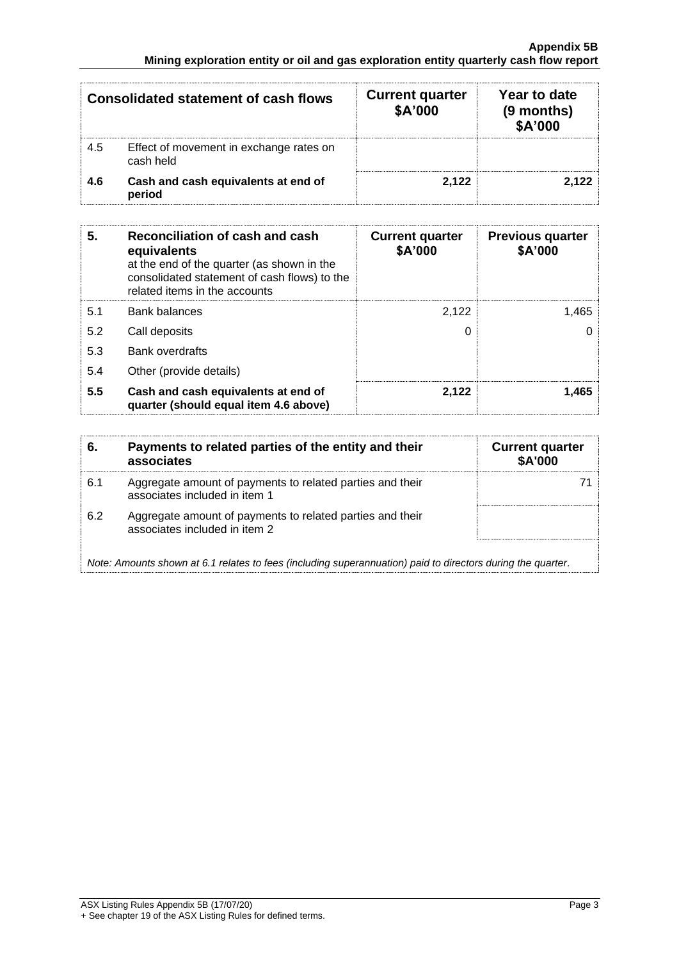| <b>Consolidated statement of cash flows</b> |                                                      | <b>Current quarter</b><br>\$A'000 | Year to date<br>(9 months)<br>\$A'000 |
|---------------------------------------------|------------------------------------------------------|-----------------------------------|---------------------------------------|
| 4.5                                         | Effect of movement in exchange rates on<br>cash held |                                   |                                       |
| 4.6                                         | Cash and cash equivalents at end of<br>period        | 2,122                             | 2.122                                 |

| 5.  | Reconciliation of cash and cash<br>equivalents<br>at the end of the quarter (as shown in the<br>consolidated statement of cash flows) to the<br>related items in the accounts | <b>Current quarter</b><br>\$A'000 | <b>Previous quarter</b><br>\$A'000 |
|-----|-------------------------------------------------------------------------------------------------------------------------------------------------------------------------------|-----------------------------------|------------------------------------|
| 5.1 | <b>Bank balances</b>                                                                                                                                                          | 2.122                             | 1.465                              |
| 5.2 | Call deposits                                                                                                                                                                 | 0                                 |                                    |
| 5.3 | <b>Bank overdrafts</b>                                                                                                                                                        |                                   |                                    |
| 5.4 | Other (provide details)                                                                                                                                                       |                                   |                                    |
| 5.5 | Cash and cash equivalents at end of<br>quarter (should equal item 4.6 above)                                                                                                  | 2,122                             | 1.465                              |

| 6.  | Payments to related parties of the entity and their<br>associates                                           | <b>Current quarter</b><br><b>\$A'000</b> |
|-----|-------------------------------------------------------------------------------------------------------------|------------------------------------------|
| 6.1 | Aggregate amount of payments to related parties and their<br>associates included in item 1                  |                                          |
| 6.2 | Aggregate amount of payments to related parties and their<br>associates included in item 2                  |                                          |
|     | Note: Amounts shown at 6.1 relates to fees (including superannuation) paid to directors during the quarter. |                                          |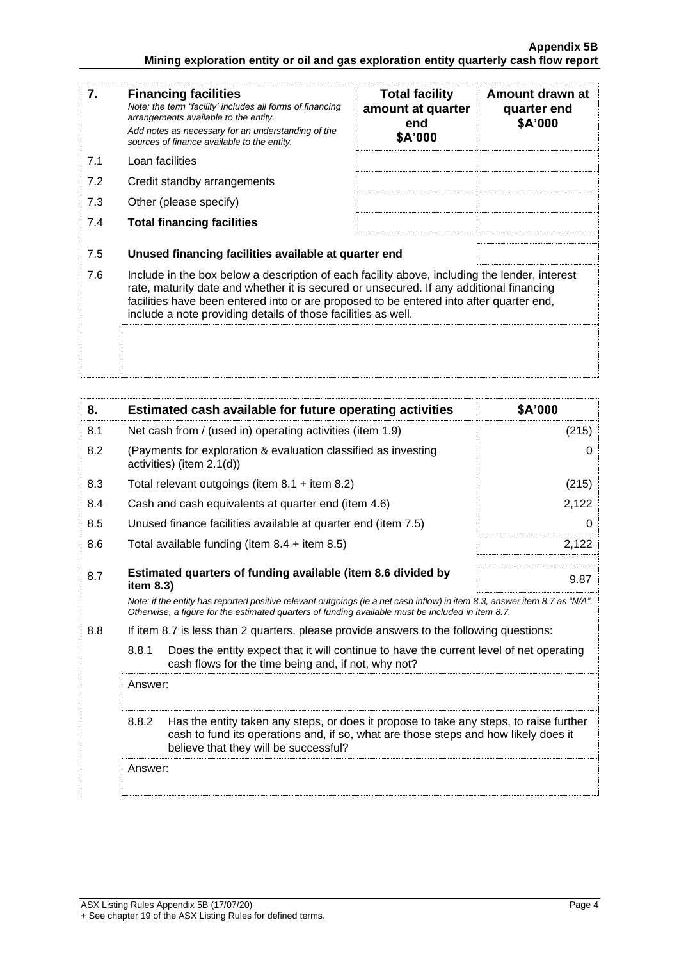| 7.  | <b>Financing facilities</b><br>Note: the term "facility' includes all forms of financing<br>arrangements available to the entity.<br>Add notes as necessary for an understanding of the<br>sources of finance available to the entity.                                                                                                               | <b>Total facility</b><br>amount at quarter<br>end<br>\$A'000 | Amount drawn at<br>quarter end<br>\$A'000 |
|-----|------------------------------------------------------------------------------------------------------------------------------------------------------------------------------------------------------------------------------------------------------------------------------------------------------------------------------------------------------|--------------------------------------------------------------|-------------------------------------------|
| 7.1 | Loan facilities                                                                                                                                                                                                                                                                                                                                      |                                                              |                                           |
| 7.2 | Credit standby arrangements                                                                                                                                                                                                                                                                                                                          |                                                              |                                           |
| 7.3 | Other (please specify)                                                                                                                                                                                                                                                                                                                               |                                                              |                                           |
| 7.4 | <b>Total financing facilities</b>                                                                                                                                                                                                                                                                                                                    |                                                              |                                           |
| 7.5 | Unused financing facilities available at quarter end                                                                                                                                                                                                                                                                                                 |                                                              |                                           |
| 7.6 | Include in the box below a description of each facility above, including the lender, interest<br>rate, maturity date and whether it is secured or unsecured. If any additional financing<br>facilities have been entered into or are proposed to be entered into after quarter end,<br>include a note providing details of those facilities as well. |                                                              |                                           |
|     |                                                                                                                                                                                                                                                                                                                                                      |                                                              |                                           |

| 8.  |                                                                                                                                                                                                                                 | Estimated cash available for future operating activities                                                                                                                                                               | \$A'000 |
|-----|---------------------------------------------------------------------------------------------------------------------------------------------------------------------------------------------------------------------------------|------------------------------------------------------------------------------------------------------------------------------------------------------------------------------------------------------------------------|---------|
| 8.1 |                                                                                                                                                                                                                                 | Net cash from / (used in) operating activities (item 1.9)                                                                                                                                                              | (215)   |
| 8.2 |                                                                                                                                                                                                                                 | (Payments for exploration & evaluation classified as investing<br>activities) (item 2.1(d))                                                                                                                            | 0       |
| 8.3 |                                                                                                                                                                                                                                 | Total relevant outgoings (item $8.1 +$ item $8.2$ )                                                                                                                                                                    | (215)   |
| 8.4 |                                                                                                                                                                                                                                 | Cash and cash equivalents at quarter end (item 4.6)                                                                                                                                                                    | 2,122   |
| 8.5 |                                                                                                                                                                                                                                 | Unused finance facilities available at quarter end (item 7.5)                                                                                                                                                          | 0       |
| 8.6 |                                                                                                                                                                                                                                 | Total available funding (item $8.4 +$ item $8.5$ )                                                                                                                                                                     | 2,122   |
| 8.7 | Estimated quarters of funding available (item 8.6 divided by<br>item $8.3$ )                                                                                                                                                    |                                                                                                                                                                                                                        | 9.87    |
|     | Note: if the entity has reported positive relevant outgoings (ie a net cash inflow) in item 8.3, answer item 8.7 as "N/A".<br>Otherwise, a figure for the estimated quarters of funding available must be included in item 8.7. |                                                                                                                                                                                                                        |         |
| 8.8 |                                                                                                                                                                                                                                 | If item 8.7 is less than 2 quarters, please provide answers to the following questions:                                                                                                                                |         |
|     | 8.8.1<br>Does the entity expect that it will continue to have the current level of net operating<br>cash flows for the time being and, if not, why not?                                                                         |                                                                                                                                                                                                                        |         |
|     | Answer:                                                                                                                                                                                                                         |                                                                                                                                                                                                                        |         |
|     | 8.8.2                                                                                                                                                                                                                           | Has the entity taken any steps, or does it propose to take any steps, to raise further<br>cash to fund its operations and, if so, what are those steps and how likely does it<br>believe that they will be successful? |         |
|     | Answer:                                                                                                                                                                                                                         |                                                                                                                                                                                                                        |         |
|     |                                                                                                                                                                                                                                 |                                                                                                                                                                                                                        |         |